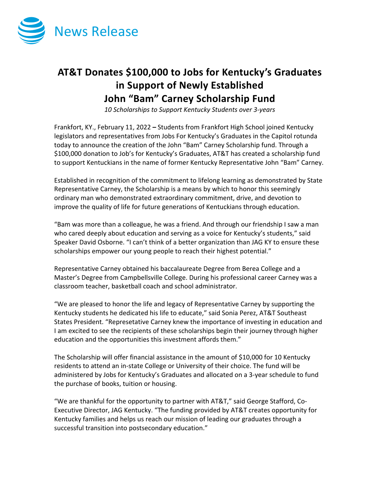

## **AT&T Donates \$100,000 to Jobs for Kentucky's Graduates in Support of Newly Established John "Bam" Carney Scholarship Fund**

*10 Scholarships to Support Kentucky Students over 3-years*

Frankfort, KY., February 11, 2022 **–** Students from Frankfort High School joined Kentucky legislators and representatives from Jobs For Kentucky's Graduates in the Capitol rotunda today to announce the creation of the John "Bam" Carney Scholarship fund. Through a \$100,000 donation to Job's for Kentucky's Graduates, AT&T has created a scholarship fund to support Kentuckians in the name of former Kentucky Representative John "Bam" Carney.

Established in recognition of the commitment to lifelong learning as demonstrated by State Representative Carney, the Scholarship is a means by which to honor this seemingly ordinary man who demonstrated extraordinary commitment, drive, and devotion to improve the quality of life for future generations of Kentuckians through education.

"Bam was more than a colleague, he was a friend. And through our friendship I saw a man who cared deeply about education and serving as a voice for Kentucky's students," said Speaker David Osborne. "I can't think of a better organization than JAG KY to ensure these scholarships empower our young people to reach their highest potential."

Representative Carney obtained his baccalaureate Degree from Berea College and a Master's Degree from Campbellsville College. During his professional career Carney was a classroom teacher, basketball coach and school administrator.

"We are pleased to honor the life and legacy of Representative Carney by supporting the Kentucky students he dedicated his life to educate," said Sonia Perez, AT&T Southeast States President. "Represetative Carney knew the importance of investing in education and I am excited to see the recipients of these scholarships begin their journey through higher education and the opportunities this investment affords them."

The Scholarship will offer financial assistance in the amount of \$10,000 for 10 Kentucky residents to attend an in-state College or University of their choice. The fund will be administered by Jobs for Kentucky's Graduates and allocated on a 3-year schedule to fund the purchase of books, tuition or housing.

"We are thankful for the opportunity to partner with AT&T," said George Stafford, Co-Executive Director, JAG Kentucky. "The funding provided by AT&T creates opportunity for Kentucky families and helps us reach our mission of leading our graduates through a successful transition into postsecondary education."